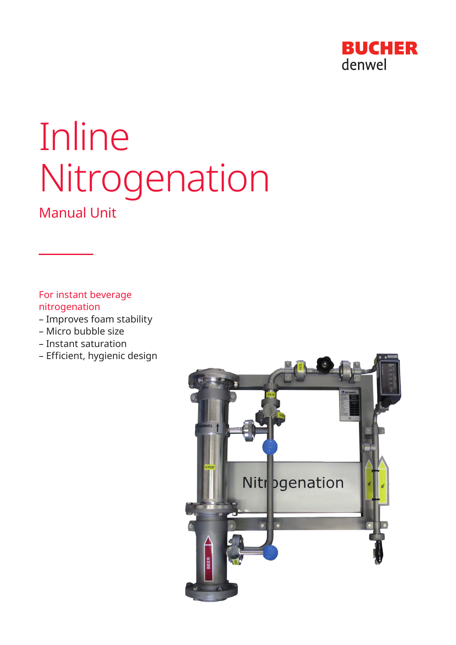

# Inline Nitrogenation

# Manual Unit

For instant beverage nitrogenation

- Improves foam stability
- Micro bubble size
- Instant saturation
- Efficient, hygienic design